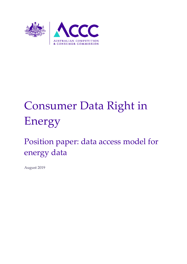

# Consumer Data Right in Energy

## Position paper: data access model for energy data

August 2019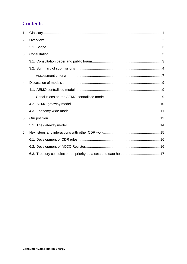## Contents

| 1.             |                                                                      |
|----------------|----------------------------------------------------------------------|
| 2.             |                                                                      |
|                |                                                                      |
| 3.             |                                                                      |
|                |                                                                      |
|                |                                                                      |
|                |                                                                      |
| $\mathbf{4}$ . |                                                                      |
|                |                                                                      |
|                |                                                                      |
|                |                                                                      |
|                |                                                                      |
| 5.             |                                                                      |
|                |                                                                      |
| 6.             |                                                                      |
|                |                                                                      |
|                |                                                                      |
|                | 6.3. Treasury consultation on priority data sets and data holders 17 |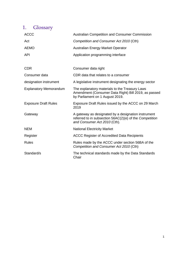## <span id="page-2-0"></span>1. Glossary

| <b>ACCC</b>                   | <b>Australian Competition and Consumer Commission</b>                                                                                          |
|-------------------------------|------------------------------------------------------------------------------------------------------------------------------------------------|
| Act                           | Competition and Consumer Act 2010 (Cth)                                                                                                        |
| <b>AEMO</b>                   | Australian Energy Market Operator                                                                                                              |
| <b>API</b>                    | Application programming interface                                                                                                              |
|                               |                                                                                                                                                |
| <b>CDR</b>                    | Consumer data right                                                                                                                            |
| Consumer data                 | CDR data that relates to a consumer                                                                                                            |
| designation instrument        | A legislative instrument designating the energy sector                                                                                         |
| <b>Explanatory Memorandum</b> | The explanatory materials to the Treasury Laws<br>Amendment (Consumer Data Right) Bill 2019, as passed<br>by Parliament on 1 August 2019.      |
| <b>Exposure Draft Rules</b>   | Exposure Draft Rules issued by the ACCC on 29 March<br>2019                                                                                    |
| Gateway                       | A gateway as designated by a designation instrument<br>referred to in subsection 56AC(2)(e) of the Competition<br>and Consumer Act 2010 (Cth). |
| <b>NEM</b>                    | <b>National Electricity Market</b>                                                                                                             |
| Register                      | ACCC Register of Accredited Data Recipients                                                                                                    |
| <b>Rules</b>                  | Rules made by the ACCC under section 56BA of the<br>Competition and Consumer Act 2010 (Cth)                                                    |
| Standard/s                    | The technical standards made by the Data Standards<br>Chair                                                                                    |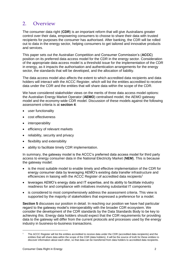## <span id="page-3-0"></span>2. Overview

The consumer data right (**CDR**) is an important reform that will give Australians greater control over their data, empowering consumers to choose to share their data with trusted recipients for purposes the consumer has authorised. After banking, the CDR will be rolled out to data in the energy sector, helping consumers to get tailored and innovative products and services.

This paper sets out the Australian Competition and Consumer Commission's (**ACCC**) position on its preferred data access model for the CDR in the energy sector. Consideration of the appropriate data access model is a threshold issue for the implementation of the CDR in energy, as it impacts the authorisation and authentication arrangements for the energy sector, the standards that will be developed, and the allocation of liability.

The data access model also affects the extent to which accredited data recipients and data holders will interact with the ACCC Register, which will list the entities accredited to receive data under the CDR and the entities that will share data within the scope of the CDR.

We have considered stakeholder views on the merits of three data access model options: the Australian Energy Market Operator (**AEMO**) centralised model, the AEMO gateway model and the economy-wide CDR model. Discussion of these models against the following assessment criteria is at **section 4**:

- user functionality
- cost effectiveness
- interoperability
- efficiency of relevant markets
- reliability, security and privacy
- flexibility and extensibility
- ability to facilitate timely CDR implementation.

In summary, the gateway model is the ACCC's preferred data access model for third party access to energy consumer data in the National Electricity Market (**NEM**). This is because the gateway model:

- is the most suitable model to enable timely and effective implementation of the CDR for energy consumer data by leveraging AEMO's existing data transfer infrastructure and efficiencies in liaising with the ACCC Register of accredited data recipients<sup>1</sup>
- leverages AEMO's energy data and IT expertise, and its ability to facilitate industry readiness for and compliance with initiatives involving substantial IT components
- is considered to most comprehensively address the assessment criteria. This view is supported by the majority of stakeholders that expressed a preference for a model.

**Section 5** discusses our position in detail. In reaching our position we have had particular regard to the gateway model's interoperability with the broader CDR ecosystem. We consider the development of the CDR standards by the Data Standards Body to be key to achieving this. Energy data holders should expect that the CDR requirements for providing data to the gateway will differ from the current protocols and processes used by the energy industry in business-to-business transactions.

The ACCC Register will list the entities accredited to receive data under the CDR (accredited data recipients) and the entities that will share data within the scope of the CDR (data holders). It will be the source of truth for these entities to discover information about each other, so that data can be transferred from data holders to accredited data recipients.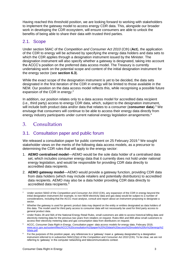Having reached this threshold position, we are looking forward to working with stakeholders to implement the gateway model to access energy CDR data. This, alongside our broader work in developing the CDR ecosystem, will ensure consumers are able to unlock the benefits of being able to share their data with trusted third parties.

## <span id="page-4-0"></span>2.1. Scope

Under section 56AC of the *Competition and Consumer Act 2010* (Cth) (**Act**), the application of the CDR to energy will be achieved by specifying the energy data holders and data sets to which the CDR applies through a designation instrument issued by the Minister. The designation instrument will also specify whether a gateway is designated, taking into account the ACCC's position on the preferred data access model. The Treasury is currently undertaking work on the potential scope and content of the initial designation instrument for the energy sector (see **section 6.3**).

While the exact scope of the designation instrument is yet to be decided, the data sets designated in the first iteration of the CDR in energy will be limited to those available in the NEM. Our position on the data access model reflects this, while recognising a possible future expansion of the CDR in energy.<sup>2</sup>

In addition, our position relates only to a data access model for accredited data recipient (i.e., third party) access to energy CDR data, which, subject to the designation instrument, will include both product data and/or data that relates to a consumer (**consumer data**).<sup>3</sup> We envisage that consumers will continue to be able to access their energy data directly from energy industry participants under current national energy legislation arrangements.<sup>4</sup>

## <span id="page-4-1"></span>3. Consultation

## <span id="page-4-2"></span>3.1. Consultation paper and public forum

We released a consultation paper for public comment on 25 February 2019.<sup>5</sup> We sought stakeholder views on the merits of the following data access models, as a precursor to determining the CDR rules that will apply to the energy sector:

- 1. **AEMO centralised model**—AEMO would be the sole data holder of a centralised data set, which includes consumer energy data that it currently does not hold under national energy legislation, and would be responsible for providing CDR data directly to accredited data recipients.
- 2. **AEMO gateway model**—AEMO would provide a gateway function, providing CDR data from data holders (which may include retailers and potentially distributors) to accredited data recipients. AEMO may also be a data holder providing CDR data directly to accredited data recipients. 6

<sup>&</sup>lt;sup>2</sup> Under section 56AD of the *Competition and Consumer Act 2010* (Cth), any expansion of the CDR in energy beyond the initial designation instrument (for example, to non-NEM electricity data and gas data) would be subject to a number of considerations, including that the ACCC must analyse, consult and report about an instrument proposing to designate a sector.

<sup>&</sup>lt;sup>3</sup> Whether the gateway is used for generic product data may depend on the entity or entities designated as data holders of this data. The model used for third party access to consumer data will not necessarily be used for third party access to general product data.

<sup>4</sup> Under Rules 28 and 56A of the National Energy Retail Rules, small customers are able to access historical billing data and electricity metering data for the previous two years from retailers on request. Rules 86A and 86B allow small customers to access their electricity metering data and gas consumption data from distributors on request.

<sup>5</sup> ACCC, *Consumer Data Right in Energy, Consultation paper: data access models for energy data*, February 2019, [www.accc.gov.au/system/files/ACCC%20consultation%20paper%20%20data%20access%20models%20for%20energy%2](http://www.accc.gov.au/system/files/ACCC%20consultation%20paper%20%20data%20access%20models%20for%20energy%20data.pdf) [0data.pdf.](http://www.accc.gov.au/system/files/ACCC%20consultation%20paper%20%20data%20access%20models%20for%20energy%20data.pdf)

 $6$  For the purposes of this position paper, any references to a 'gateway' mean a gateway designated by a designation instrument referred to in subsection 56AC(2)(e) of the *Competition and Consumer Act 2010* (Cth). To be clear, we are not referring to 'gateway' in the computer networking and telecommunications context.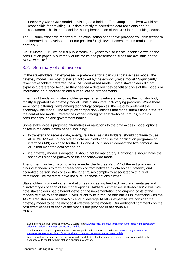3. **Economy-wide CDR model** – existing data holders (for example, retailers) would be responsible for providing CDR data directly to accredited data recipients and/or consumers. This is the model for the implementation of the CDR in the banking sector.

The 39 submissions we received to the consultation paper have provided valuable feedback and informed the development of our position.<sup>7</sup> High-level themes are summarised in **section 3.2**.

On 18 March 2019, we held a public forum in Sydney to discuss stakeholder views on the consultation paper. A summary of the forum and presentation slides are available on the ACCC website.<sup>8</sup>

## <span id="page-5-0"></span>3.2. Summary of submissions

Of the stakeholders that expressed a preference for a particular data access model, the gateway model was most preferred, followed by the economy-wide model.<sup>9</sup> Significantly fewer stakeholders preferred the AEMO centralised model. Some stakeholders did not express a preference because they needed a detailed cost-benefit analysis of the models or information on authorisation and authentication arrangements.

In terms of trends within stakeholder groups, energy retailers (including the industry body) mostly supported the gateway model, while distributors took varying positions. While there were some differing views among technology companies, the majority preferred the economy-wide model. The two price comparison websites that made submissions preferred the centralised model. Preferences varied among other stakeholder groups, such as consumer groups and government bodies.

Some stakeholders proposed alternatives or variations to the data access model options posed in the consultation paper, including:

- to transfer and receive data, energy retailers (as data holders) should continue to use AEMO's B2B e-Hub, accredited data recipients can use the application programming interface (**API**) designed for the CDR and AEMO should connect the two domains via APIs that meet the data standards
- if a gateway model is adopted, it should not be mandatory. Participants should have the option of using the gateway or the economy-wide model.

The former may be difficult to achieve under the Act, as Part IVD of the Act provides for binding standards to form a three-party contract between a data holder, gateway and accredited person. We consider the latter raises complexity associated with a dual framework. We therefore have not pursued these options further.

Stakeholders provided varied and at times contrasting feedback on the advantages and disadvantages of each of the model options. **Table 1** summarises stakeholders' views. We note stakeholders had different views on the implementation and ongoing costs of the models relative to each other. Given its ability to introduce efficiencies in interfacing with the ACCC Register (see **section 5.1**) and to leverage AEMO's expertise, we consider the gateway model to be the most cost effective of the models. Our additional comments on the cost effectiveness of each of the models are provided in **sections 4.1 to 4.3**.

<sup>7</sup> Submissions are published on the ACCC website a[t www.accc.gov.au/focus-areas/consumer-data-right-cdr/energy](https://www.accc.gov.au/focus-areas/consumer-data-right-cdr/energy-cdr/consultation-on-energy-data-access-models)[cdr/consultation-on-energy-data-access-models.](https://www.accc.gov.au/focus-areas/consumer-data-right-cdr/energy-cdr/consultation-on-energy-data-access-models)

The forum summary and presentation slides are published on the ACCC website a[t www.accc.gov.au/focus](https://www.accc.gov.au/focus-areas/consumer-data-right-cdr/energy-cdr/consultation-on-energy-data-access-models)[areas/consumer-data-right-cdr/energy-cdr/consultation-on-energy-data-access-models.](https://www.accc.gov.au/focus-areas/consumer-data-right-cdr/energy-cdr/consultation-on-energy-data-access-models)

<sup>9</sup> After the gateway model and the economy-wide model, stakeholders preferred either the gateway model or the economy-wide model, without stating a specific preference.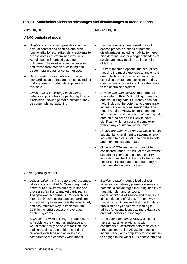#### **Table 1: Stakeholder views on advantages and disadvantages of model options**

#### Advantages **Disadvantages** Disadvantages

#### **AEMO centralised model**

- *Single point of contact:* provides a single point of contact and enables 'one-click' functionality for accredited data recipients to access data in a streamlined way, which would support improved customer outcomes. The most efficient, accessible and transparent means of collating and disseminating data for consumer use.
- *Data standardisation:* allows for better standardisation of data and is best suited for making generic product data generally available.
- *Limits retailer knowledge of customer behaviour:* promotes competition by limiting a retailer's knowledge that a customer may be contemplating switching.
- *Service reliability:* centralised point of access presents a series of potential disadvantages including inability to meet high demand, and/or a degradation/loss of service and may result in a single point of failure.
- *Cost:* of the three options, the centralised model is the most expensive to implement due to high costs incurred in building a centralised system and costs incurred by data holders in order to replicate their data to the centralised system.
- *Privacy and data security:* there are risks associated with AEMO holding, managing and distributing data it currently does not hold, including the potential to cause major inconsistencies in consumers' data. The model requires AEMO to store personal information out of the control of the originally entrusted holder and is likely to have significantly higher cost and complexity without any countervailing benefits.
- *Regulatory framework reform:* would require substantial amendment to national energy legislation to give AEMO the power to hold and manage customer data.
- *Outside of CDR framework:* cannot be considered under Part IVD of the Act without supporting changes to national energy legislation, as the Act does not allow a data holder to provide data to another party to then provide the data to others.

#### **AEMO gateway model**

- *Utilises existing infrastructure and expertise:*  takes into account AEMO's existing market operator role, systems already in use and processes familiar to market participants. The gateway recognises AEMO's technical expertise in developing data standards and accreditation processes. It is the most timely and cost-effective way to implement the CDR in the NEM because it leverages existing systems.
- *Scalable:* AEMO's existing IT infrastructure is flexible to the changing landscape and would more easily be able to facilitate the addition of data, data holders and data receivers over time and at least cost, compared to the economy-wide model.
- *Service reliability:* centralised point of access via a gateway presents a series of potential disadvantages including inability to meet high demand, and/or a degradation/loss of service and may result in a single point of failure. The gateway model has an increased likelihood of data provision delays and errors leading to ad-hoc functional issues as more data sets and data holders are managed.
- *Consumer experience:* AEMO does not have an existing relationship with consumers or accredited data recipients in other sectors. Using AEMO introduces inconsistency and complexity for consumers to engage in the wider CDR ecosystem and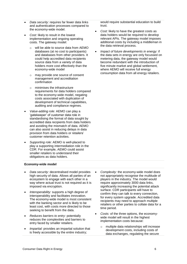- *Data security:* requires far fewer data links and authentication processes compared to the economy-wide model.
- *Cost:* likely to result in the lowest implementation and ongoing operating costs. The gateway model:
	- o will be able to source data from AEMO databases (at no cost to participants) and databases from other providers. It could help accredited data recipients source data from a variety of data holders more cost effectively than the economy-wide model
	- o may provide one source of consent management and accreditation confirmation
	- $\circ$  minimises the infrastructure requirements for data holders compared to the economy-wide model, negating costs associated with duplication of development of technical capabilities, auditing and compliance regimes.
- *Value-adding role:* AEMO can play a 'gatekeeper' of customer data role in standardising the format of data sought by accredited data recipients from data holders and avoiding the mismatch of data. AEMO can also assist in reducing delays in data provision from data holders or retailers' customer retention activities.
- *Supporting role:* AEMO is well-placed to play a supporting intermediation role in the CDR. For example, AEMO could assist smaller retailers to understand their obligations as data holders.

#### **Economy-wide model**

- *Data security:* decentralised model provides high security of data. Allows all parties of an ecosystem to engage with each other in a way where actual trust is not required as it is imposed via encryption.
- *Interoperability:* supports a high degree of interoperability and facilitates innovation. The economy-wide model is most consistent with the banking sector and is likely to be least cost, with costs more directed to those seeking to benefit from the data.
- *Reduces barriers to entry:* potentially reduces the complexities and barriers to entry faced by smaller retailers.
- *Impartial:* provides an impartial solution that is freely accessible by the entire industry;

would require substantial education to build trust.

- *Cost:* likely to have the greatest costs as data holders would be required to develop relevant APIs. The gateway model imposes additional costs by including a middleman in the data retrieval process.
- *Impact of future developments in energy:* if the data sets in energy are only focussed on metering data, the gateway model would become redundant with the introduction of five minute market and global settlement, where AEMO will receive full energy consumption data from all energy retailers.

- *Complexity:* the economy-wide model does not appropriately recognise the multitude of players in the industry. The model would require approximately 3000 data links, significantly increasing the potential attack surface. CDR participants will have to confirm they can talk to every connection, for every system upgrade. Accredited data recipients may need to approach multiple retailers or other parties to collate data for a time period.
- *Costs:* of the three options, the economywide model will result in the highest implementation costs because:
	- o multiple data relationships will increase development costs, including costs of data exchanges, regulating the secure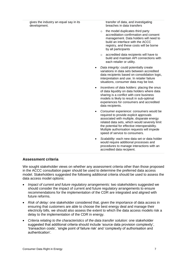| gives the industry an equal say in its<br>development. |           |         | transfer of data, and investigating<br>breaches in data transfers                                                                                                                                                                                                                                                  |
|--------------------------------------------------------|-----------|---------|--------------------------------------------------------------------------------------------------------------------------------------------------------------------------------------------------------------------------------------------------------------------------------------------------------------------|
|                                                        |           | $\circ$ | the model duplicates third party<br>accreditation confirmation and consent<br>management. Data holders will need to<br>build an interface with the ACCC<br>registry, and these costs will be borne<br>by all participants                                                                                          |
|                                                        |           | $\circ$ | accredited data recipients will have to<br>build and maintain API connections with<br>each retailer or utility.                                                                                                                                                                                                    |
|                                                        | $\bullet$ |         | Data integrity: could potentially create<br>variations in data sets between accredited<br>data recipients based on consolidation logic,<br>interpretation and use. In retailer failure<br>situations, consumer data may be lost.                                                                                   |
|                                                        | $\bullet$ |         | Incentives of data holders: placing the onus<br>of data liquidity on data holders where data<br>sharing is a conflict with core business<br>models is likely to result in sub-optimal<br>experiences for consumers and accredited<br>data recipients.                                                              |
|                                                        |           |         | Consumer experience: consumers would be<br>required to provide explicit approvals<br>associated with multiple, disparate energy<br>related data sets, which would severely limit<br>the potential for effective interoperability.<br>Multiple authorisation requests will impede<br>speed of service to consumers. |
|                                                        | ٠         |         | Scalability: each new data set or data holder<br>would require additional processes and<br>procedures to manage interactions with an<br>accredited data recipient.                                                                                                                                                 |

#### <span id="page-8-0"></span>**Assessment criteria**

We sought stakeholder views on whether any assessment criteria other than those proposed in the ACCC consultation paper should be used to determine the preferred data access model. Stakeholders suggested the following additional criteria should be used to assess the data access model options:

- *Impact of current and future regulatory arrangements:* two stakeholders suggested we should consider the impact of current and future regulatory arrangements to ensure recommendations for the implementation of the CDR are integrated and aligned with future reforms.
- *Risk of delay:* one stakeholder considered that, given the importance of data access in ensuring that customers are able to choose the best energy deal and manage their electricity bills, we should also assess the extent to which the data access models risk a delay to the implementation of the CDR in energy.
- *Criteria relating to the characteristics of the data transfer solution:* one stakeholder suggested that additional criteria should include 'source data provision complexity', 'transaction costs', 'single point of failure risk' and 'complexity of authorisation and authentication'.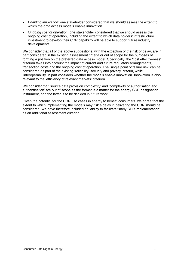- *Enabling innovation:* one stakeholder considered that we should assess the extent to which the data access models enable innovation.
- *Ongoing cost of operation:* one stakeholder considered that we should assess the ongoing cost of operation, including the extent to which data holders' infrastructure investment to develop their CDR capability will be able to support future industry developments.

We consider that all of the above suggestions, with the exception of the risk of delay, are in part considered in the existing assessment criteria or out of scope for the purposes of forming a position on the preferred data access model. Specifically, the 'cost effectiveness' criterion takes into account the impact of current and future regulatory arrangements, transaction costs and the ongoing cost of operation. The 'single point of failure risk' can be considered as part of the existing 'reliability, security and privacy' criteria, while 'interoperability' in part considers whether the models enable innovation. Innovation is also relevant to the 'efficiency of relevant markets' criterion.

We consider that 'source data provision complexity' and 'complexity of authorisation and authentication' are out of scope as the former is a matter for the energy CDR designation instrument, and the latter is to be decided in future work.

Given the potential for the CDR use cases in energy to benefit consumers, we agree that the extent to which implementing the models may risk a delay in delivering the CDR should be considered. We have therefore included an 'ability to facilitate timely CDR implementation' as an additional assessment criterion.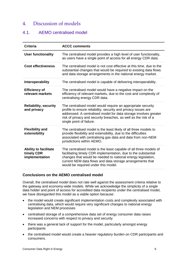## <span id="page-10-0"></span>4. Discussion of models

## <span id="page-10-1"></span>4.1. AEMO centralised model

| <b>Criteria</b>                                              | <b>ACCC comments</b>                                                                                                                                                                                                                                                                                    |
|--------------------------------------------------------------|---------------------------------------------------------------------------------------------------------------------------------------------------------------------------------------------------------------------------------------------------------------------------------------------------------|
| <b>User functionality</b>                                    | The centralised model provides a high level of user functionality,<br>as users have a single point of access for all energy CDR data.                                                                                                                                                                   |
| <b>Cost effectiveness</b>                                    | The centralised model is not cost effective at this time, due to the<br>substantial changes that would be required to existing data flows<br>and data storage arrangements in the national energy market.                                                                                               |
| Interoperability                                             | The centralised model is capable of delivering interoperability.                                                                                                                                                                                                                                        |
| <b>Efficiency of</b><br>relevant markets                     | The centralised model would have a negative impact on the<br>efficiency of relevant markets, due to the cost and complexity of<br>centralising energy CDR data.                                                                                                                                         |
| <b>Reliability, security</b><br>and privacy                  | The centralised model would require an appropriate security<br>profile to ensure reliability, security and privacy issues are<br>addressed. A centralised model for data storage involves greater<br>risk of privacy and security breaches, as well as the risk of a<br>single point of failure.        |
| <b>Flexibility and</b><br>extensibility                      | The centralised model is the least likely of all three models to<br>provide flexibility and extensibility, due to the difficulties<br>associated with centralising gas data and data from non-NEM<br>jurisdictions within AEMO.                                                                         |
| <b>Ability to facilitate</b><br>timely CDR<br>implementation | The centralised model is the least capable of all three models of<br>facilitating timely CDR implementation, due to the substantial<br>changes that would be needed to national energy legislation,<br>current NEM data flows and data storage arrangements that<br>would be required under this model. |

#### <span id="page-10-2"></span>**Conclusions on the AEMO centralised model**

Overall, the centralised model does not rate well against the assessment criteria relative to the gateway and economy-wide models. While we acknowledge the simplicity of a single data holder and point of access for accredited data recipients under the centralised model, we have disregarded this model as a viable option because:

- the model would create significant implementation costs and complexity associated with centralising data, which would require very significant changes to national energy legislation and NEM processes
- centralised storage of a comprehensive data set of energy consumer data raises increased concerns with respect to privacy and security
- there was a general lack of support for the model, particularly amongst energy participants
- the centralised model would create a heavier regulatory burden on CDR participants and consumers.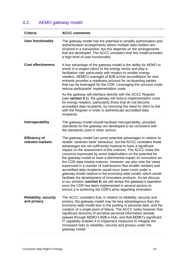## <span id="page-11-0"></span>4.2. AEMO gateway model

| <b>Criteria</b>                             | <b>ACCC comments</b>                                                                                                                                                                                                                                                                                                                                                                                                                                                                                                                                                                                                                                                                                                                                                                                                                                                                                                                            |
|---------------------------------------------|-------------------------------------------------------------------------------------------------------------------------------------------------------------------------------------------------------------------------------------------------------------------------------------------------------------------------------------------------------------------------------------------------------------------------------------------------------------------------------------------------------------------------------------------------------------------------------------------------------------------------------------------------------------------------------------------------------------------------------------------------------------------------------------------------------------------------------------------------------------------------------------------------------------------------------------------------|
| <b>User functionality</b>                   | The gateway model has the potential to simplify authorisation and<br>authentication arrangements where multiple data holders are<br>involved in a transaction, but this depends on the arrangements<br>that are developed. The ACCC considers that this model provides<br>a high level of user functionality.                                                                                                                                                                                                                                                                                                                                                                                                                                                                                                                                                                                                                                   |
| <b>Cost effectiveness</b>                   | A key advantage of the gateway model is the ability for AEMO to<br>assist in a staged rollout to the energy sector and play a<br>facilitation role, particularly with respect to smaller energy<br>retailers. AEMO's oversight of B2B e-Hub accreditation for new<br>entrants provides a readiness process for on-boarding parties<br>that can be leveraged for the CDR. Leveraging this process could<br>reduce participants' implementation costs.                                                                                                                                                                                                                                                                                                                                                                                                                                                                                            |
|                                             | As the gateway will interface directly with the ACCC Register<br>(see section 5.1), the gateway will reduce implementation costs<br>for energy retailers, particularly those that do not become<br>accredited data recipients, by removing the need for them to link<br>with the Register in order to authenticate accredited data<br>recipients.                                                                                                                                                                                                                                                                                                                                                                                                                                                                                                                                                                                               |
| Interoperability                            | The gateway model should facilitate interoperability, provided<br>standards for the gateway are developed to be consistent with<br>the standards used in other sectors.                                                                                                                                                                                                                                                                                                                                                                                                                                                                                                                                                                                                                                                                                                                                                                         |
| <b>Efficiency of</b><br>relevant markets    | The gateway model has some potential advantages in relation to<br>retailer 'save/win back' behaviour, but the ACCC considers these<br>advantages are not sufficiently material to have a significant<br>impact on the assessment of this criterion. The ACCC notes the<br>concerns expressed by some stakeholders on the potential for<br>the gateway model to have a detrimental impact on innovation as<br>the CDR data market matures. However, we also note the views<br>expressed in a number of submissions that smaller retailers and<br>accredited data recipients would incur lower costs under a<br>gateway model relative to the economy-wide model, which would<br>facilitate the development of innovative products. As we discuss<br>in our position (section 5) we will review the gateway's operation<br>once the CDR has been implemented in several sectors to<br>ensure it is achieving the CDR's aims regarding innovation. |
| <b>Reliability, security</b><br>and privacy | The ACCC considers that, in relation to reliability, security and<br>privacy, the gateway model may be less advantageous than the<br>economy-wide model due to the pooling of personal data, and the<br>creation of a single point of failure. The ACCC notes however that<br>significant amounts of sensitive personal information already<br>passes through AEMO's B2B e-Hub, and that AEMO's significant<br>IT capability enables it to implement measures to mitigate the<br>increased risks to reliability, security and privacy under the<br>gateway model.                                                                                                                                                                                                                                                                                                                                                                               |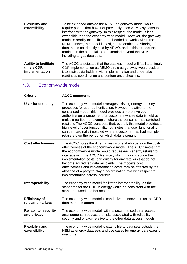| <b>Flexibility and</b><br>extensibility                      | To be extended outside the NEM, the gateway model would<br>require parties that have not previously used AEMO systems to<br>interface with the gateway. In this respect, the model is less<br>extensible than the economy-wide model. However, the gateway<br>model is readily extensible to embedded networks within the<br>NEM. Further, the model is designed to enable the sharing of<br>data that is not directly held by AEMO, and in this respect the<br>model has the potential to be extended beyond the NEM,<br>including to gas data sets. |
|--------------------------------------------------------------|-------------------------------------------------------------------------------------------------------------------------------------------------------------------------------------------------------------------------------------------------------------------------------------------------------------------------------------------------------------------------------------------------------------------------------------------------------------------------------------------------------------------------------------------------------|
| <b>Ability to facilitate</b><br>timely CDR<br>implementation | The ACCC anticipates that the gateway model will facilitate timely<br>CDR implementation as AEMO's role as gateway would position<br>it to assist data holders with implementation and undertake<br>readiness coordination and conformance checking.                                                                                                                                                                                                                                                                                                  |

## <span id="page-12-0"></span>4.3. Economy-wide model

| <b>Criteria</b>                             | <b>ACCC comments</b>                                                                                                                                                                                                                                                                                                                                                                                                                                                                                                                                                                      |
|---------------------------------------------|-------------------------------------------------------------------------------------------------------------------------------------------------------------------------------------------------------------------------------------------------------------------------------------------------------------------------------------------------------------------------------------------------------------------------------------------------------------------------------------------------------------------------------------------------------------------------------------------|
| <b>User functionality</b>                   | The economy-wide model leverages existing energy industry<br>processes for user authentication. However, relative to the<br>centralised model, this model provides a more involved<br>authorisation arrangement for customers whose data is held by<br>multiple parties (for example, where the consumer has switched<br>retailer). The ACCC considers that, overall, this model provides a<br>high level of user functionality, but notes that user functionality<br>can be marginally impacted where a customer has had multiple<br>retailers over the period for which data is sought. |
| <b>Cost effectiveness</b>                   | The ACCC notes the differing views of stakeholders on the cost-<br>effectiveness of the economy-wide model. The ACCC notes that<br>the economy-wide model would require each energy retailer to<br>interface with the ACCC Register, which may impact on their<br>implementation costs, particularly for any retailers that do not<br>become accredited data recipients. The model's cost<br>effectiveness and implementation costs may be affected by the<br>absence of a party to play a co-ordinating role with respect to<br>implementation across industry.                          |
| Interoperability                            | The economy-wide model facilitates interoperability, as the<br>standards for the CDR in energy would be consistent with the<br>standards used in other sectors.                                                                                                                                                                                                                                                                                                                                                                                                                           |
| <b>Efficiency of</b><br>relevant markets    | The economy-wide model is conducive to innovation as the CDR<br>data market matures.                                                                                                                                                                                                                                                                                                                                                                                                                                                                                                      |
| <b>Reliability, security</b><br>and privacy | The economy-wide model, with its decentralised data access<br>arrangements, reduces the risks associated with reliability,<br>security and privacy relative to the other data access models                                                                                                                                                                                                                                                                                                                                                                                               |
| <b>Flexibility and</b><br>extensibility     | The economy-wide model is extensible to data sets outside the<br>NEM as energy data sets and use cases for energy data expand<br>over time.                                                                                                                                                                                                                                                                                                                                                                                                                                               |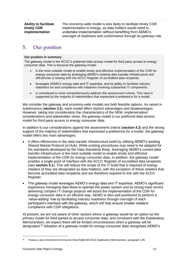The economy-wide model is less likely to facilitate timely CDR implementation in energy, as data holders would need to undertake implementation without benefiting from AEMO's oversight of readiness and conformance through its gateway role.

## <span id="page-13-0"></span>5. Our position

#### **Our position in summary**

The gateway model is the ACCC's preferred data access model for third party access to energy consumer data. This is because the gateway model:

- is the most suitable model to enable timely and effective implementation of the CDR for energy consumer data by leveraging AEMO's existing data transfer infrastructure and efficiencies in liaising with the ACCC Register of accredited data recipients
- leverages AEMO's energy data and IT expertise, and its ability to facilitate industry readiness for and compliance with initiatives involving substantial IT components
- is considered to most comprehensively address the assessment criteria. This view is supported by the majority of stakeholders that expressed a preference for a model.

We consider the gateway and economy-wide models are both feasible options. As raised in submissions (**section 3.2**), each model offers distinct advantages and disadvantages. However, taking into consideration the characteristics of the NEM, implementation considerations and stakeholder views, the gateway model is our preferred data access model for third party access to energy consumer data.

In addition to our considerations against the assessment criteria (**section 4.2**) and the strong support of the majority of stakeholders that expressed a preference for a model, the gateway model offers two main advantages:

- It offers efficiencies in the data transfer infrastructure build by utilising AEMO's existing Shared Market Protocol (e-Hub). While existing procedures may need to be adapted for the standards developed by the Data Standards Body, leveraging AEMO's current data transfer infrastructure is the most suitable model to enable timely and effective implementation of the CDR for energy consumer data. In addition, the gateway model enables a single point of interface with the ACCC Register of accredited data recipients (see **section 5.1**). This will reduce the scope of the IT build that is required of energy retailers (if they are designated as data holders), with the exception of those retailers that become accredited data recipients and are therefore required to link with the ACCC Register.
- The gateway model leverages AEMO's energy data and IT expertise. AEMO's significant experience managing data flows to operate the power system and its strong track record delivering complex IT change projects will assist the implementation of the CDR for energy consumer data in an efficient way. AEMO is also well positioned to perform a 'value-adding' role by facilitating industry readiness through oversight of each participant's interface with the gateway, which will help ensure smaller retailers' compliance with CDR obligations.

At present, we are not aware of other sectors where a gateway would be an option as the primary model for third parties to access consumer data, and consistent with the Explanatory Memorandum, we expect there will be limited circumstances when a gateway will be designated.<sup>10</sup> Adoption of a gateway model for energy consumer data recognises AEMO's

<sup>10</sup> Treasury Laws Amendment (Consumer Data Right) Bill 2019, Explanatory Memorandum, paragraph 1.95.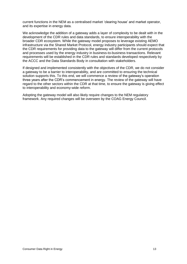current functions in the NEM as a centralised market 'clearing house' and market operator, and its expertise in energy data.

We acknowledge the addition of a gateway adds a layer of complexity to be dealt with in the development of the CDR rules and data standards, to ensure interoperability with the broader CDR ecosystem. While the gateway model proposes to leverage existing AEMO infrastructure via the Shared Market Protocol, energy industry participants should expect that the CDR requirements for providing data to the gateway will differ from the current protocols and processes used by the energy industry in business-to-business transactions. Relevant requirements will be established in the CDR rules and standards developed respectively by the ACCC and the Data Standards Body in consultation with stakeholders.

If designed and implemented consistently with the objectives of the CDR, we do not consider a gateway to be a barrier to interoperability, and are committed to ensuring the technical solution supports this. To this end, we will commence a review of the gateway's operation three years after the CDR's commencement in energy. The review of the gateway will have regard to the other sectors within the CDR at that time, to ensure the gateway is giving effect to interoperability and economy-wide reform.

Adopting the gateway model will also likely require changes to the NEM regulatory framework. Any required changes will be overseen by the COAG Energy Council.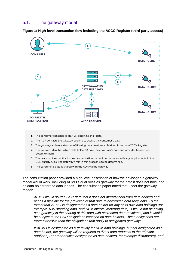## <span id="page-15-0"></span>5.1. The gateway model

**Figure 1: High-level transaction flow including the ACCC Register (third party access)**



- 1. The consumer consents to an ADR obtaining their data.
- 2. The ADR contacts the gateway, seeking to access the consumer's data.
- 3. The gateway authenticates the ADR using data previously obtained from the ACCC's Register.
- 4. The gateway identifies which data holder(s) hold the consumer's data and provides transaction details to them
- 5. The process of authentication and authorisation occurs in accordance with any requirements in the CDR energy rules. The gateway's role in this process is to be determined.
- 6. The consumer's data is shared with the ADR via the gateway.

The consultation paper provided a high-level description of how we envisaged a gateway model would work, including AEMO's dual roles as gateway for the data it does not hold, and as data holder for the data it does. The consultation paper noted that under the gateway model:

*AEMO would source CDR data that it does not already hold from data holders and act as a pipeline for the provision of that data to accredited data recipients. To the extent that AEMO is designated as a data holder for any of its own data holdings (for*  example, NMI standing data, and NEM interval metering data), it would not be acting *as a gateway in the sharing of this data with accredited data recipients, and it would be subject to the CDR obligations imposed on data holders. These obligations are more extensive than the obligations that apply to designated gateways.* 

*If AEMO is designated as a gateway for NEM data holdings, but not designated as a data holder, the gateway will be required to direct data requests to the relevant retailer(s) (or other entities designated as data holders, for example distributors), and*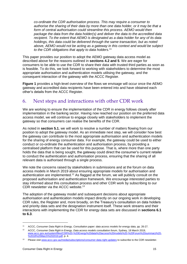*co-ordinate the CDR authorisation process. This may require a consumer to authorise the sharing of their data by more than one data holder, or it may be that a form of central authorisation could streamline this process. AEMO would then package the data from the data holder(s) and deliver the data to the accredited data recipient. To the extent that AEMO is designated as a data holder for any of its data holdings, this data could be delivered through the same transaction, but as noted above, AEMO would not be acting as a gateway in this context and would be subject to the CDR obligations that apply to data holders.*<sup>11</sup>

This paper provides our position to adopt the AEMO gateway data access model as described above for the reasons outlined in **sections 4.2 and 5**. We are eager for consumers to be able to use the CDR to share their data with trusted third parties as soon as is feasible. To do this, we look forward to working with stakeholders to determine the most appropriate authorisation and authentication models utilising the gateway, and the consequent interaction of the gateway with the ACCC Register.

**Figure 1** provides a high-level overview of the flows we envisage will occur once the AEMO gateway and accredited data recipients have been entered into and have obtained each other's details from the ACCC Register.

## <span id="page-16-0"></span>6. Next steps and interactions with other CDR work

We are working to ensure the implementation of the CDR in energy follows closely after implementation in the banking sector. Having now reached our position on the preferred data access model, we will continue to engage closely with stakeholders to implement the gateway so that consumers can realise the benefits of the CDR.

As noted in **section 5.1**, we will work to resolve a number of matters flowing from our position to adopt the gateway model. As an immediate next step, we will consider how best the gateway can contribute to the most appropriate authorisation and authentication models for the sharing of energy consumer data. For example, the gateway could be used to either conduct or co-ordinate the authentication and authorisation process, by providing a centralised platform that can be used for this purpose. That is, where more than one party holds the data that is being sought, the gateway could direct the consumer's current retailer to conduct the authentication and authorisation process, ensuring that the sharing of all relevant data is authorised through a single process.

We note the concerns raised by stakeholders in submissions and at the forum on data access models in March 2019 about ensuring appropriate models for authorisation and authentication are implemented.<sup>12</sup> As flagged at the forum, we will publicly consult on the proposed authorisation and authentication framework. We encourage interested parties to stay informed about this consultation process and other CDR work by subscribing to our CDR newsletter via the ACCC website.<sup>13</sup>

The adoption of the gateway model and subsequent decisions about appropriate authorisation and authentication models impact directly on our ongoing work in developing CDR rules, the Register and, more broadly, on the Treasury's consultation on data holders and priority data sets and the designation instrument itself. These work streams and their interactions with implementing the CDR for energy data sets are discussed in **sections 6.1 to 6.3**.

<sup>&</sup>lt;sup>11</sup> ACCC, *Consumer Data Right in Energy, Consultation paper: data access models for energy data, pp. 26-27.* 

<sup>12</sup> ACCC, *Consumer Data Right in Energy, Data access models consultation forum*, Sydney, 18 March 2019, [www.accc.gov.au/system/files/CDR%20-%20Energy%20data%20access%20models%20-%20Forum%20summary%20-](https://www.accc.gov.au/system/files/CDR%20-%20Energy%20data%20access%20models%20-%20Forum%20summary%20-%2018%20March%202019.pdf) [%2018%20March%202019.pdf,](https://www.accc.gov.au/system/files/CDR%20-%20Energy%20data%20access%20models%20-%20Forum%20summary%20-%2018%20March%202019.pdf) p. 4.

<sup>13</sup> Please visi[t www.accc.gov.au/media/subscriptions/consumer-data-right-updates](https://www.accc.gov.au/media/subscriptions/consumer-data-right-updates) to subscribe to the CDR newsletter.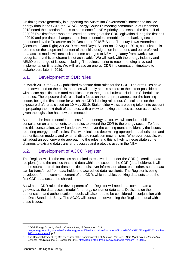On timing more generally, in supporting the Australian Government's intention to include energy data in the CDR, the COAG Energy Council's meeting communique of December 2018 noted the intention for this to commence for NEM priority data sets in the first half of 2020.<sup>14</sup> This timeframe was predicated on passage of the CDR legislation during the first half of 2019 and pre-dated changes to the implementation timetable for the banking sector announced by the Treasurer on 21 December 2018. <sup>15</sup> As the Treasury Laws Amendment (Consumer Data Right) Act 2019 received Royal Assent on 12 August 2019, consultation is required on the scope and content of the initial designation instrument, and our preferred data access model will necessitate some changes to NEM regulatory frameworks, we recognise that this timeframe is not achievable. We will work with the energy industry and AEMO on a range of issues, including IT readiness, prior to recommending a revised implementation timetable. We will release an energy CDR implementation timetable to stakeholders later in 2019.

## <span id="page-17-0"></span>6.1. Development of CDR rules

In March 2019, the ACCC published exposure draft rules for the CDR. The draft rules have been developed on the basis that rules will apply across sectors to the extent possible but with sector specific rules (and modifications to the general rules) included in Schedules to the rules. The exposure draft rules had a focus on their appropriateness for the banking sector, being the first sector for which the CDR is being rolled out. Consultation on the exposure draft rules closed on 10 May 2019. Stakeholder views are being taken into account in preparing the next draft of the rules, with a view to making the rules as soon as possible given the legislation has now commenced.

As part of the implementation process for the energy sector, we will conduct public consultation on amendments to the rules to extend the CDR to the energy sector. To feed into this consultation, we will undertake work over the coming months to identify the issues requiring energy-specific rules. This work includes determining appropriate authorisation and authentication models, and external dispute resolution mechanisms. Wherever possible, we will adopt an economy-wide approach to the rules, and this is likely to necessitate some changes to existing data transfer processes and protocols used in the NEM.

## <span id="page-17-1"></span>6.2. Development of ACCC Register

The Register will list the entities accredited to receive data under the CDR (accredited data recipients) and the entities that hold data within the scope of the CDR (data holders). It will be the source of truth for these entities to discover information about each other, so that data can be transferred from data holders to accredited data recipients. The Register is being developed for the commencement of the CDR, which enables banking data sets to be the first CDR data sets to be shared.

As with the CDR rules, the development of the Register will need to accommodate a gateway as the data access model for energy consumer data sets. Decisions on the authorisation and authentication models will also need to be considered in conjunction with the Data Standards Body. The ACCC will consult on developing the Register to deal with these issues.

<sup>14</sup> COAG Energy Council, *Meeting Communique*, 19 December 2018, [coagenergycouncil.gov.au/sites/prod.energycouncil/files/publications/documents/21st%20COAG%20Energy%20Council%](http://coagenergycouncil.gov.au/sites/prod.energycouncil/files/publications/documents/21st%20COAG%20Energy%20Council%20Communique.pdf) [20Communique.pdf,](http://coagenergycouncil.gov.au/sites/prod.energycouncil/files/publications/documents/21st%20COAG%20Energy%20Council%20Communique.pdf) p. 2.

<sup>15</sup> The Hon Josh Frydenberg MP, Treasurer of the Commonwealth of Australia*, Consumer Data Right Rules, Standards & Timeline*, media release, 21 December 2018, [http://jaf.ministers.treasury.gov.au/media-release/077-2018/.](http://jaf.ministers.treasury.gov.au/media-release/077-2018/)